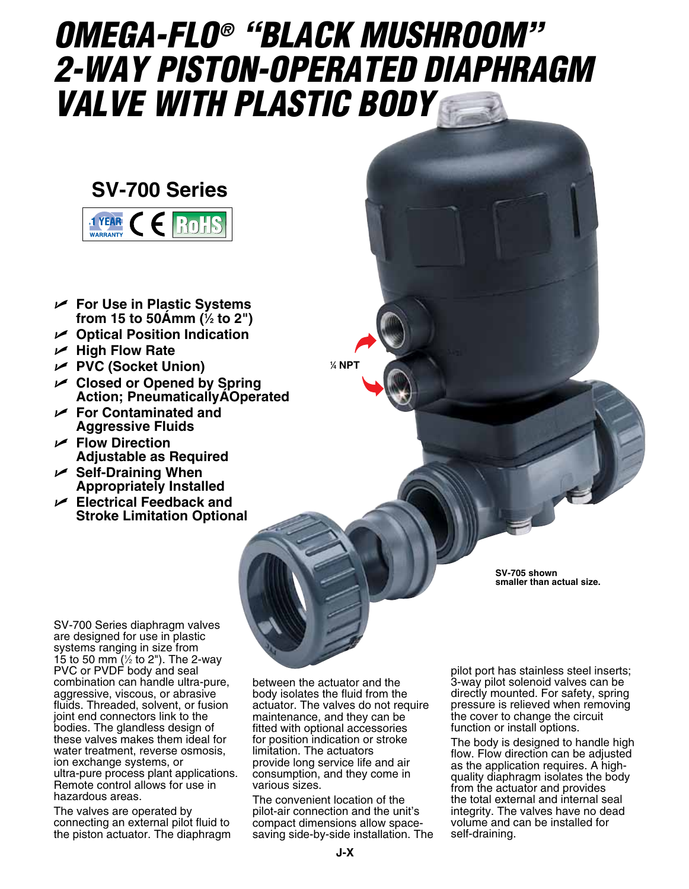# *OMEGA-FLO® "Black Mushroom" 2-Way Piston-Operated Diaphragm Valve with Plastic Body*

## **SV-700 Series**



- U **For Use in Plastic Systems from 15 to 50�mm (1 ⁄2 to 2")**
- U **Optical Position Indication**
- U **High Flow Rate**
- U **PVC (Socket Union)**
- U **Closed or Opened by Spring Action; Pneumatically AOperated**
- U **For Contaminated and Aggressive Fluids**
- U **Flow Direction Adjustable as Required**
- U **Self-Draining When Appropriately Installed**
- U **Electrical Feedback and Stroke Limitation Optional**

**1 ⁄4 NPT**

**SV-705 shown smaller than actual size.**

SV-700 Series diaphragm valves are designed for use in plastic systems ranging in size from 15 to 50 mm ( $\frac{1}{2}$  to 2"). The 2-way PVC or PVDF body and seal combination can handle ultra-pure, aggressive, viscous, or abrasive fluids. Threaded, solvent, or fusion joint end connectors link to the bodies. The glandless design of these valves makes them ideal for water treatment, reverse osmosis, ion exchange systems, or ultra-pure process plant applications. Remote control allows for use in hazardous areas.

The valves are operated by connecting an external pilot fluid to the piston actuator. The diaphragm

between the actuator and the body isolates the fluid from the actuator. The valves do not require maintenance, and they can be fitted with optional accessories for position indication or stroke limitation. The actuators provide long service life and air consumption, and they come in various sizes.

The convenient location of the pilot-air connection and the unit's compact dimensions allow spacesaving side-by-side installation. The pilot port has stainless steel inserts; 3-way pilot solenoid valves can be directly mounted. For safety, spring pressure is relieved when removing the cover to change the circuit function or install options.

The body is designed to handle high flow. Flow direction can be adjusted as the application requires. A highquality diaphragm isolates the body from the actuator and provides the total external and internal seal integrity. The valves have no dead volume and can be installed for self-draining.